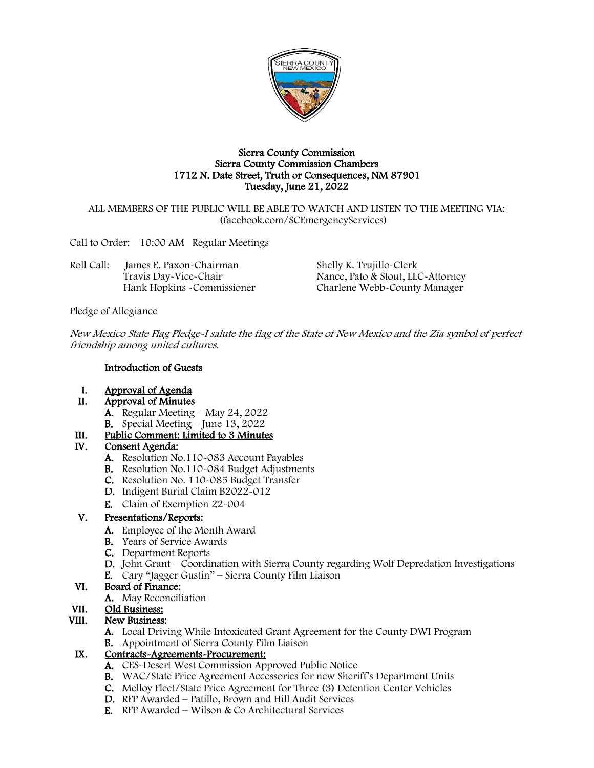

#### Sierra County Commission Sierra County Commission Chambers 1712 N. Date Street, Truth or Consequences, NM 87901 Tuesday, June 21, 2022

#### ALL MEMBERS OF THE PUBLIC WILL BE ABLE TO WATCH AND LISTEN TO THE MEETING VIA: (facebook.com/SCEmergencyServices)

Call to Order: 10:00 AM Regular Meetings

Roll Call: James E. Paxon-Chairman Shelly K. Trujillo-Clerk

Travis Day-Vice-Chair Nance, Pato & Stout, LLC-Attorney<br>Hank Hopkins -Commissioner Charlene Webb-County Manager Charlene Webb-County Manager

Pledge of Allegiance

New Mexico State Flag Pledge-I salute the flag of the State of New Mexico and the Zia symbol of perfect friendship among united cultures.

### Introduction of Guests

- I. Approval of Agenda
- II. Approval of Minutes
	- A. Regular Meeting May 24, 2022
	- B. Special Meeting June 13, 2022

# III. Public Comment: Limited to 3 Minutes

# IV. Consent Agenda:

- A. Resolution No.110-083 Account Payables
- B. Resolution No.110-084 Budget Adjustments
- C. Resolution No. 110-085 Budget Transfer
- D. Indigent Burial Claim B2022-012
- E. Claim of Exemption 22-004

# V. Presentations/Reports:

- A. Employee of the Month Award
- B. Years of Service Awards
- C. Department Reports
- D. John Grant Coordination with Sierra County regarding Wolf Depredation Investigations
- E. Cary "Jagger Gustin" Sierra County Film Liaison

## VI. Board of Finance:

A. May Reconciliation

# VII. Old Business:

# VIII. New Business:

- A. Local Driving While Intoxicated Grant Agreement for the County DWI Program
- B. Appointment of Sierra County Film Liaison

### IX. Contracts-Agreements-Procurement:

- A. CES-Desert West Commission Approved Public Notice
- B. WAC/State Price Agreement Accessories for new Sheriff's Department Units
- C. Melloy Fleet/State Price Agreement for Three (3) Detention Center Vehicles
- D. RFP Awarded Patillo, Brown and Hill Audit Services
- E. RFP Awarded Wilson & Co Architectural Services